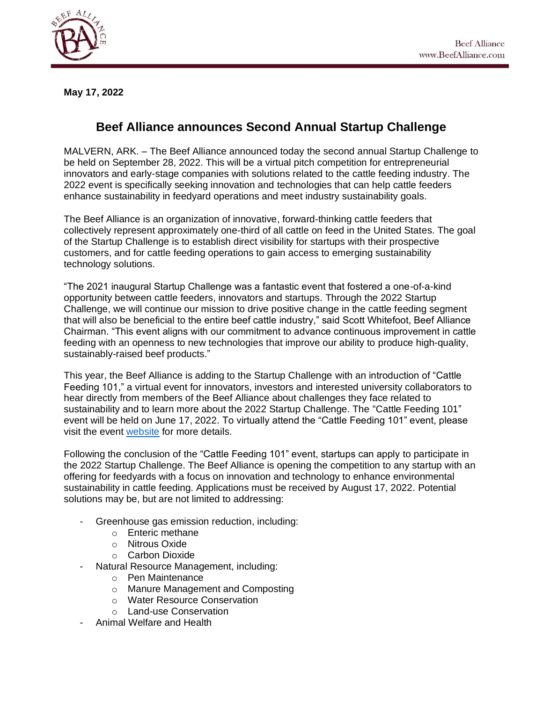

**May 17, 2022**

## **Beef Alliance announces Second Annual Startup Challenge**

MALVERN, ARK. – The Beef Alliance announced today the second annual Startup Challenge to be held on September 28, 2022. This will be a virtual pitch competition for entrepreneurial innovators and early-stage companies with solutions related to the cattle feeding industry. The 2022 event is specifically seeking innovation and technologies that can help cattle feeders enhance sustainability in feedyard operations and meet industry sustainability goals.

The Beef Alliance is an organization of innovative, forward-thinking cattle feeders that collectively represent approximately one-third of all cattle on feed in the United States. The goal of the Startup Challenge is to establish direct visibility for startups with their prospective customers, and for cattle feeding operations to gain access to emerging sustainability technology solutions.

"The 2021 inaugural Startup Challenge was a fantastic event that fostered a one-of-a-kind opportunity between cattle feeders, innovators and startups. Through the 2022 Startup Challenge, we will continue our mission to drive positive change in the cattle feeding segment that will also be beneficial to the entire beef cattle industry," said Scott Whitefoot, Beef Alliance Chairman. "This event aligns with our commitment to advance continuous improvement in cattle feeding with an openness to new technologies that improve our ability to produce high-quality, sustainably-raised beef products."

This year, the Beef Alliance is adding to the Startup Challenge with an introduction of "Cattle Feeding 101," a virtual event for innovators, investors and interested university collaborators to hear directly from members of the Beef Alliance about challenges they face related to sustainability and to learn more about the 2022 Startup Challenge. The "Cattle Feeding 101" event will be held on June 17, 2022. To virtually attend the "Cattle Feeding 101" event, please visit the event [website](https://beefalliance.com/startupchallenge/) for more details.

Following the conclusion of the "Cattle Feeding 101" event, startups can apply to participate in the 2022 Startup Challenge. The Beef Alliance is opening the competition to any startup with an offering for feedyards with a focus on innovation and technology to enhance environmental sustainability in cattle feeding. Applications must be received by August 17, 2022. Potential solutions may be, but are not limited to addressing:

- Greenhouse gas emission reduction, including:
	- o Enteric methane
	- o Nitrous Oxide
	- o Carbon Dioxide
- Natural Resource Management, including:
	- o Pen Maintenance
	- o Manure Management and Composting
	- o Water Resource Conservation
	- o Land-use Conservation
- Animal Welfare and Health